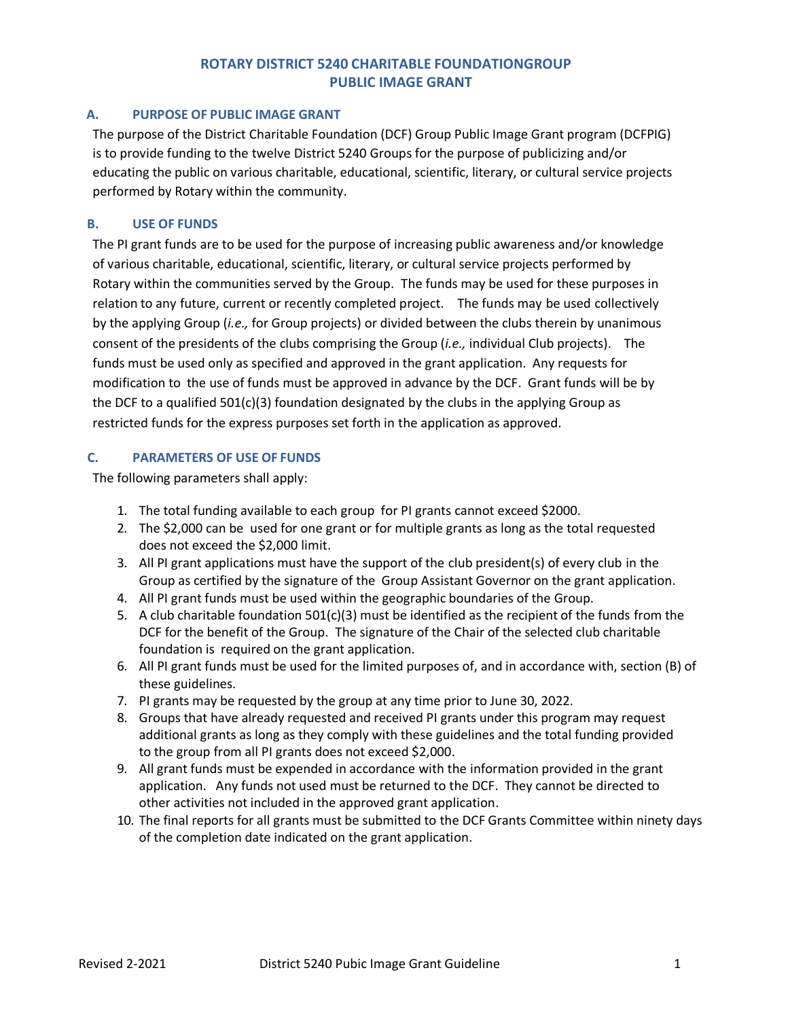## **ROTARY DISTRICT 5240 CHARITABLE FOUNDATIONGROUP PUBLIC IMAGE GRANT**

### **A. PURPOSE OF PUBLIC IMAGE GRANT**

The purpose of the District Charitable Foundation (DCF) Group Public Image Grant program (DCFPIG) is to provide funding to the twelve District 5240 Groups for the purpose of publicizing and/or educating the public on various charitable, educational, scientific, literary, or cultural service projects performed by Rotary within the community.

#### **B. USE OF FUNDS**

The PI grant funds are to be used for the purpose of increasing public awareness and/or knowledge of various charitable, educational, scientific, literary, or cultural service projects performed by Rotary within the communities served by the Group. The funds may be used for these purposes in relation to any future, current or recently completed project. The funds may be used collectively by the applying Group (*i.e.,* for Group projects) or divided between the clubs therein by unanimous consent of the presidents of the clubs comprising the Group (*i.e.,* individual Club projects). The funds must be used only as specified and approved in the grant application. Any requests for modification to the use of funds must be approved in advance by the DCF. Grant funds will be by the DCF to a qualified 501(c)(3) foundation designated by the clubs in the applying Group as restricted funds for the express purposes set forth in the application as approved.

#### **C. PARAMETERS OF USE OF FUNDS**

The following parameters shall apply:

- 1. The total funding available to each group for PI grants cannot exceed \$2000.
- 2. The \$2,000 can be used for one grant or for multiple grants as long as the total requested does not exceed the \$2,000 limit.
- 3. All PI grant applications must have the support of the club president(s) of every club in the Group as certified by the signature of the Group Assistant Governor on the grant application.
- 4. All PI grant funds must be used within the geographic boundaries of the Group.
- 5. A club charitable foundation  $501(c)(3)$  must be identified as the recipient of the funds from the DCF for the benefit of the Group. The signature of the Chair of the selected club charitable foundation is required on the grant application.
- 6. All PI grant funds must be used for the limited purposes of, and in accordance with, section (B) of these guidelines.
- 7. PI grants may be requested by the group at any time prior to June 30, 2022.
- 8. Groups that have already requested and received PI grants under this program may request additional grants as long as they comply with these guidelines and the total funding provided to the group from all PI grants does not exceed \$2,000.
- 9. All grant funds must be expended in accordance with the information provided in the grant application. Any funds not used must be returned to the DCF. They cannot be directed to other activities not included in the approved grant application.
- 10. The final reports for all grants must be submitted to the DCF Grants Committee within ninety days of the completion date indicated on the grant application.